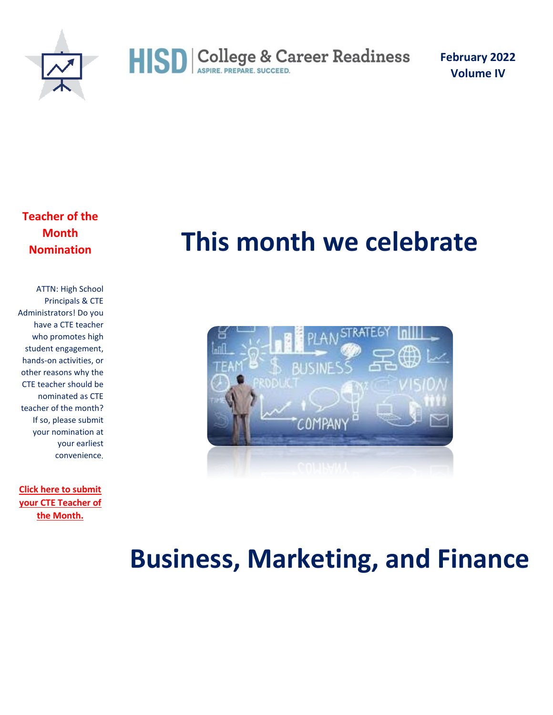

**February 2022 Volume IV** 

**Teacher of the Month Nomination**

ATTN: High School Principals & CTE Administrators! Do you have a CTE teacher who promotes high student engagement, hands-on activities, or other reasons why the CTE teacher should be nominated as CTE teacher of the month? If so, please submit your nomination at your earliest convenience.

**[Click here to submit](https://forms.office.com/r/Jy6z80XCCW)  [your CTE Teacher of](https://forms.office.com/r/Jy6z80XCCW)  [the Month.](https://forms.office.com/r/Jy6z80XCCW)**

### **This month we celebrate**



### **Business, Marketing, and Finance**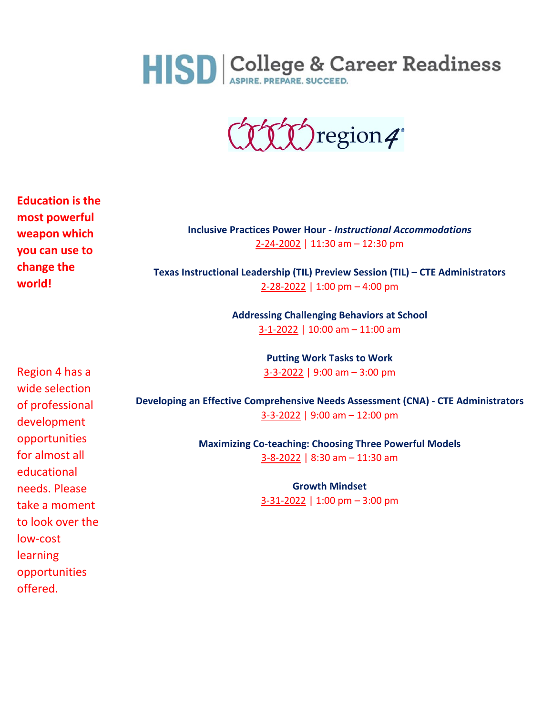

(THT) region4°

**Education is the most powerful weapon which you can use to change the world!**

**Inclusive Practices Power Hour -** *Instructional Accommodations* [2-24-2002](https://www.escweb.net/tx_esc_04/catalog/session.aspx?session_id=1658329) | 11:30 am – 12:30 pm

**Texas Instructional Leadership (TIL) Preview Session (TIL) – CTE Administrators** [2-28-2022](https://www.escweb.net/tx_esc_04/catalog/session.aspx?session_id=1653153) | 1:00 pm – 4:00 pm

> **Addressing Challenging Behaviors at School** [3-1-2022](https://www.escweb.net/tx_esc_04/catalog/session.aspx?session_id=1611317) | 10:00 am – 11:00 am

> > **Putting Work Tasks to Work** [3-3-2022](https://www.escweb.net/tx_esc_04/catalog/session.aspx?session_id=1616911) | 9:00 am – 3:00 pm

Region 4 has a wide selection of professional development opportunities for almost all educational needs. Please take a moment to look over the low-cost learning opportunities offered.

**Developing an Effective Comprehensive Needs Assessment (CNA) - CTE Administrators** [3-3-2022](https://www.escweb.net/tx_esc_04/catalog/session.aspx?session_id=1639374) | 9:00 am – 12:00 pm

> **Maximizing Co-teaching: Choosing Three Powerful Models** [3-8-2022](https://www.escweb.net/tx_esc_04/catalog/session.aspx?session_id=1654240) | 8:30 am – 11:30 am

> > **Growth Mindset** [3-31-2022](https://www.escweb.net/tx_esc_04/catalog/session.aspx?session_id=1655536) | 1:00 pm – 3:00 pm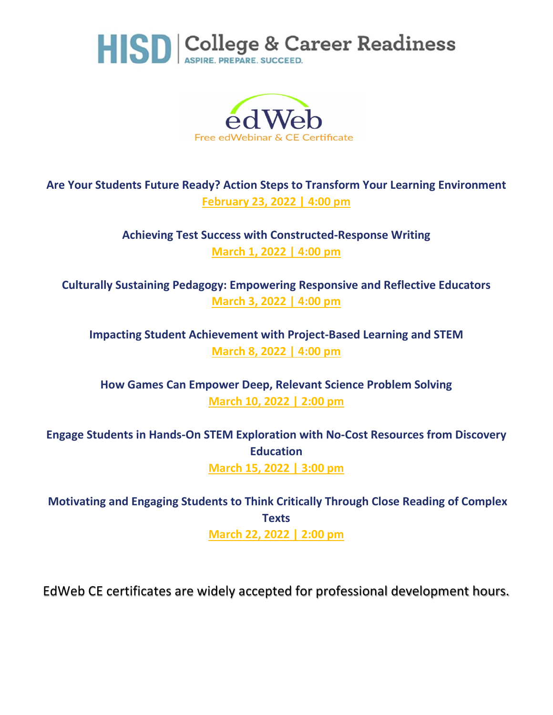



#### **Are Your Students Future Ready? Action Steps to Transform Your Learning Environment February 23, 2022 | 4:00 pm**

**Achieving Test Success with Constructed-Response Writing March 1, 2022 | 4:00 pm**

**Culturally Sustaining Pedagogy: Empowering Responsive and Reflective Educators [March 3, 2022 | 4:00 pm](https://home.edweb.net/webinar/clrt20220303/)**

**Impacting Student Achievement with Project-Based Learning and STEM [March 8, 2022 | 4:00 pm](https://home.edweb.net/webinar/stem20220308/)**

**How Games Can Empower Deep, Relevant Science Problem Solving [March 10, 2022 | 2:00 pm](https://home.edweb.net/webinar/gaming20220310/)**

**Engage Students in Hands-On STEM Exploration with No-Cost Resources from Discovery Education [March 15, 2022 | 3:00 pm](https://home.edweb.net/webinar/stem20220315/)**

**Motivating and Engaging Students to Think Critically Through Close Reading of Complex Texts [March 22, 2022 | 2:00 pm](https://home.edweb.net/webinar/literacy20220322/)**

EdWeb CE certificates are widely accepted for professional development hours.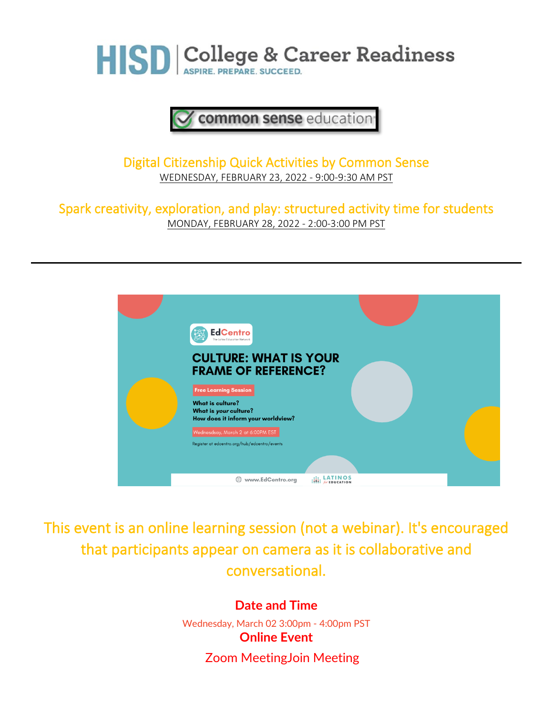

#### common sense education

Digital Citizenship Quick Activities by Common Sense [WEDNESDAY, FEBRUARY 23, 2022 -](https://commonsense.zoom.us/webinar/register/WN_odSqyJ2gQ1SME4pktYwuqQ) 9:00-9:30 AM PST

Spark creativity, exploration, and play: structured activity time for students [MONDAY, FEBRUARY 28, 2022 -](https://home.edweb.net/webinar/commonsense20220228/) 2:00-3:00 PM PST



This event is an online learning session (not a webinar). It's encouraged that participants appear on camera as it is collaborative and conversational.

> **Date and Time** Wednesday, March 02 3:00pm - 4:00pm PST **Online Event** Zoom MeetingJoin Meeting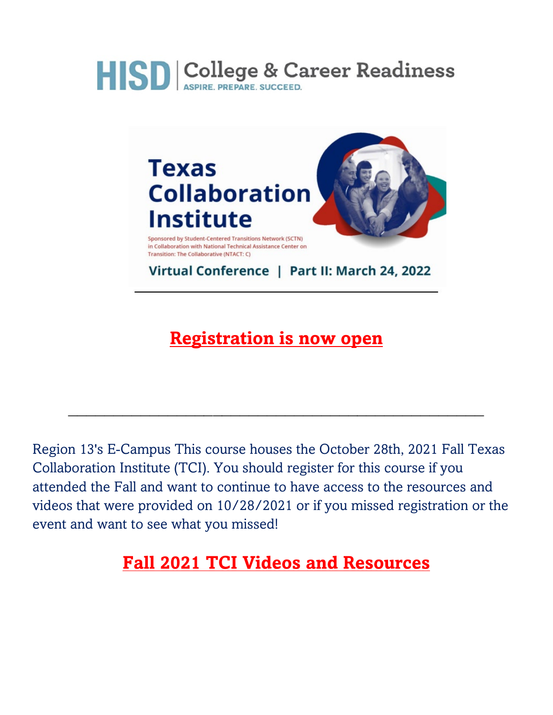

### **[Registration is now open](https://ecampus.esc13.net/show_class_info.html?classid=46851)**

 $\mathcal{L}_\text{max}$  and  $\mathcal{L}_\text{max}$  and  $\mathcal{L}_\text{max}$  and  $\mathcal{L}_\text{max}$  and  $\mathcal{L}_\text{max}$  and  $\mathcal{L}_\text{max}$ 

Region 13's E-Campus This course houses the October 28th, 2021 Fall Texas Collaboration Institute (TCI). You should register for this course if you attended the Fall and want to continue to have access to the resources and videos that were provided on 10/28/2021 or if you missed registration or the event and want to see what you missed!

### **[Fall 2021 TCI Videos and Resources](https://ecampus.esc13.net/show_class_info.html?classid=47303)**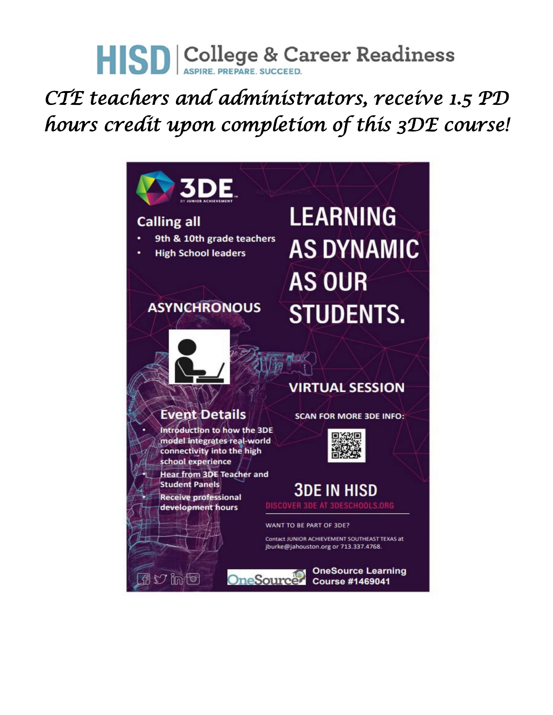### *CTE teachers and administrators, receive 1.5 PD hours credit upon completion of this 3DE course!*

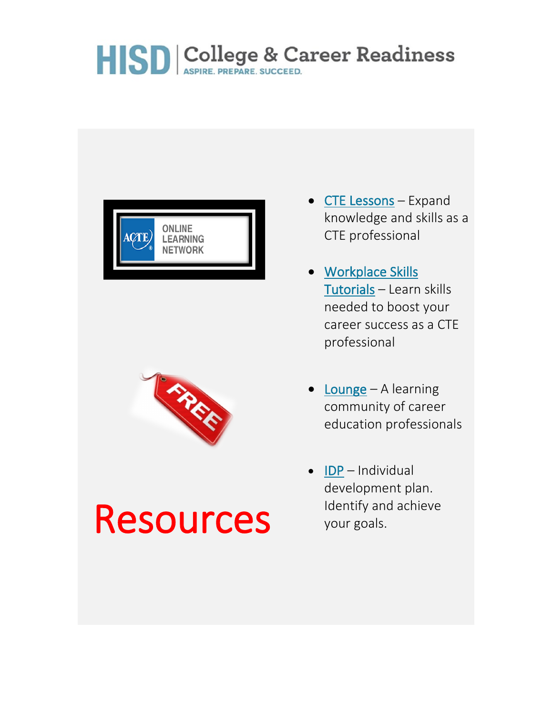



## Resources

- [CTE Lessons](https://www.ctelearn.org/cte-lessons) Expand knowledge and skills as a CTE professional
- [Workplace Skills](https://www.ctelearn.org/tutorials.php)  [Tutorials](https://www.ctelearn.org/tutorials.php) – Learn skills needed to boost your career success as a CTE professional
- [Lounge](https://www.careeredlounge.com/) A learning community of career education professionals
- [IDP](https://www.ctelearn.org/idp/) Individual development plan. Identify and achieve your goals.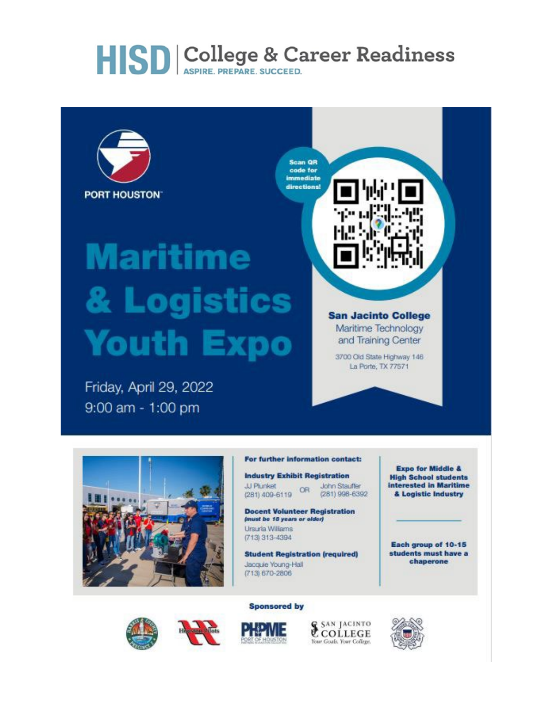

# **Maritime** & Logistics **Youth Expo**

Friday, April 29, 2022 9:00 am - 1:00 pm



#### **San Jacinto College** Maritime Technology and Training Center

3700 Old State Highway 146 La Porte, TX 77571



#### For further information contact:

**Industry Exhibit Registration** 

**Docent Volunteer Registration** (must be 18 years or older) Ursuria Williams (713) 313-4394

**Student Registration (required)** Jacquie Young-Hall (713) 670-2806

**Sponsored by** 

**Expo for Middle & High School students** interested in Maritime & Logistic Industry

Each group of 10-15 students must have a chaperone



& SAN JACINTO Your Goals, Your College,